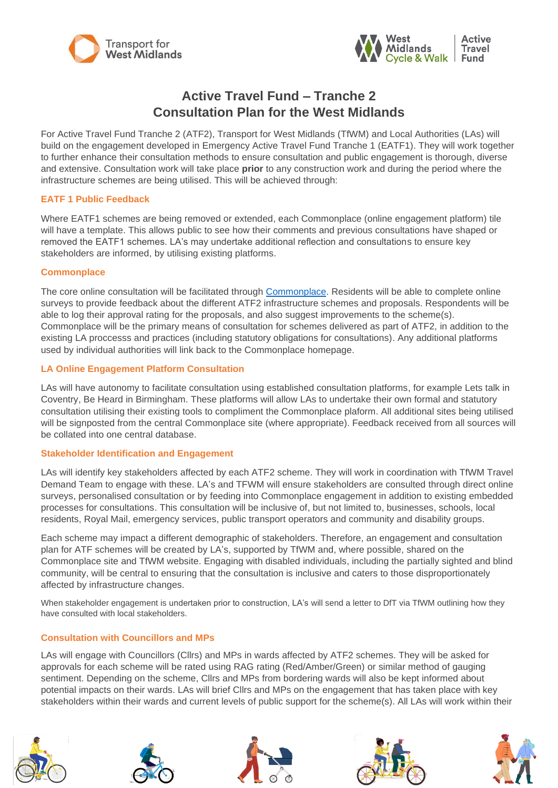



# **Active Travel Fund – Tranche 2 Consultation Plan for the West Midlands**

For Active Travel Fund Tranche 2 (ATF2), Transport for West Midlands (TfWM) and Local Authorities (LAs) will build on the engagement developed in Emergency Active Travel Fund Tranche 1 (EATF1). They will work together to further enhance their consultation methods to ensure consultation and public engagement is thorough, diverse and extensive. Consultation work will take place **prior** to any construction work and during the period where the infrastructure schemes are being utilised. This will be achieved through:

# **EATF 1 Public Feedback**

Where EATF1 schemes are being removed or extended, each Commonplace (online engagement platform) tile will have a template. This allows public to see how their comments and previous consultations have shaped or removed the EATF1 schemes. LA's may undertake additional reflection and consultations to ensure key stakeholders are informed, by utilising existing platforms.

## **Commonplace**

The core online consultation will be facilitated through [Commonplace.](https://westmidlandsemergencyactivefund.commonplace.is/) Residents will be able to complete online surveys to provide feedback about the different ATF2 infrastructure schemes and proposals. Respondents will be able to log their approval rating for the proposals, and also suggest improvements to the scheme(s). Commonplace will be the primary means of consultation for schemes delivered as part of ATF2, in addition to the existing LA proccesss and practices (including statutory obligations for consultations). Any additional platforms used by individual authorities will link back to the Commonplace homepage.

# **LA Online Engagement Platform Consultation**

LAs will have autonomy to facilitate consultation using established consultation platforms, for example Lets talk in Coventry, Be Heard in Birmingham. These platforms will allow LAs to undertake their own formal and statutory consultation utilising their existing tools to compliment the Commonplace plaform. All additional sites being utilised will be signposted from the central Commonplace site (where appropriate). Feedback received from all sources will be collated into one central database.

## **Stakeholder Identification and Engagement**

LAs will identify key stakeholders affected by each ATF2 scheme. They will work in coordination with TfWM Travel Demand Team to engage with these. LA's and TFWM will ensure stakeholders are consulted through direct online surveys, personalised consultation or by feeding into Commonplace engagement in addition to existing embedded processes for consultations. This consultation will be inclusive of, but not limited to, businesses, schools, local residents, Royal Mail, emergency services, public transport operators and community and disability groups.

Each scheme may impact a different demographic of stakeholders. Therefore, an engagement and consultation plan for ATF schemes will be created by LA's, supported by TfWM and, where possible, shared on the Commonplace site and TfWM website. Engaging with disabled individuals, including the partially sighted and blind community, will be central to ensuring that the consultation is inclusive and caters to those disproportionately affected by infrastructure changes.

When stakeholder engagement is undertaken prior to construction, LA's will send a letter to DfT via TfWM outlining how they have consulted with local stakeholders.

## **Consultation with Councillors and MPs**

LAs will engage with Councillors (Cllrs) and MPs in wards affected by ATF2 schemes. They will be asked for approvals for each scheme will be rated using RAG rating (Red/Amber/Green) or similar method of gauging sentiment. Depending on the scheme, Cllrs and MPs from bordering wards will also be kept informed about potential impacts on their wards. LAs will brief Cllrs and MPs on the engagement that has taken place with key stakeholders within their wards and current levels of public support for the scheme(s). All LAs will work within their